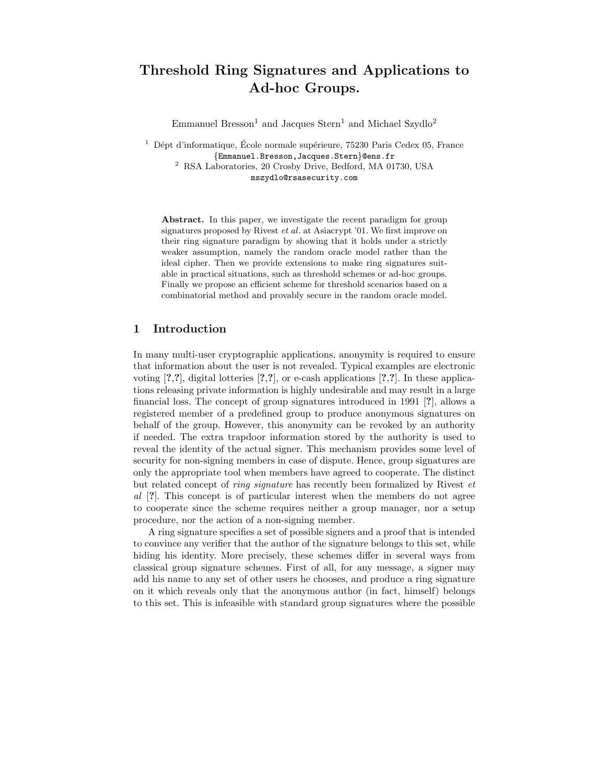# Threshold Ring Signatures and Applications to Ad-hoc Groups.

Emmanuel Bresson<sup>1</sup> and Jacques Stern<sup>1</sup> and Michael Szydlo<sup>2</sup>

<sup>1</sup> Dépt d'informatique, École normale supérieure, 75230 Paris Cedex 05, France {Emmanuel.Bresson,Jacques.Stern}@ens.fr  $^{\rm 2}$ RSA Laboratories, 20 Crosby Drive, Bedford, MA 01730, USA mszydlo@rsasecurity.com

Abstract. In this paper, we investigate the recent paradigm for group signatures proposed by Rivest et al. at Asiacrypt '01. We first improve on their ring signature paradigm by showing that it holds under a strictly weaker assumption, namely the random oracle model rather than the ideal cipher. Then we provide extensions to make ring signatures suitable in practical situations, such as threshold schemes or ad-hoc groups. Finally we propose an efficient scheme for threshold scenarios based on a combinatorial method and provably secure in the random oracle model.

# 1 Introduction

In many multi-user cryptographic applications, anonymity is required to ensure that information about the user is not revealed. Typical examples are electronic voting  $[?,?,]$ , digital lotteries  $[?,?,]$ , or e-cash applications  $[?,?]$ . In these applications releasing private information is highly undesirable and may result in a large financial loss. The concept of group signatures introduced in 1991 [?], allows a registered member of a predefined group to produce anonymous signatures on behalf of the group. However, this anonymity can be revoked by an authority if needed. The extra trapdoor information stored by the authority is used to reveal the identity of the actual signer. This mechanism provides some level of security for non-signing members in case of dispute. Hence, group signatures are only the appropriate tool when members have agreed to cooperate. The distinct but related concept of ring signature has recently been formalized by Rivest et al [?]. This concept is of particular interest when the members do not agree to cooperate since the scheme requires neither a group manager, nor a setup procedure, nor the action of a non-signing member.

A ring signature specifies a set of possible signers and a proof that is intended to convince any verifier that the author of the signature belongs to this set, while hiding his identity. More precisely, these schemes differ in several ways from classical group signature schemes. First of all, for any message, a signer may add his name to any set of other users he chooses, and produce a ring signature on it which reveals only that the anonymous author (in fact, himself) belongs to this set. This is infeasible with standard group signatures where the possible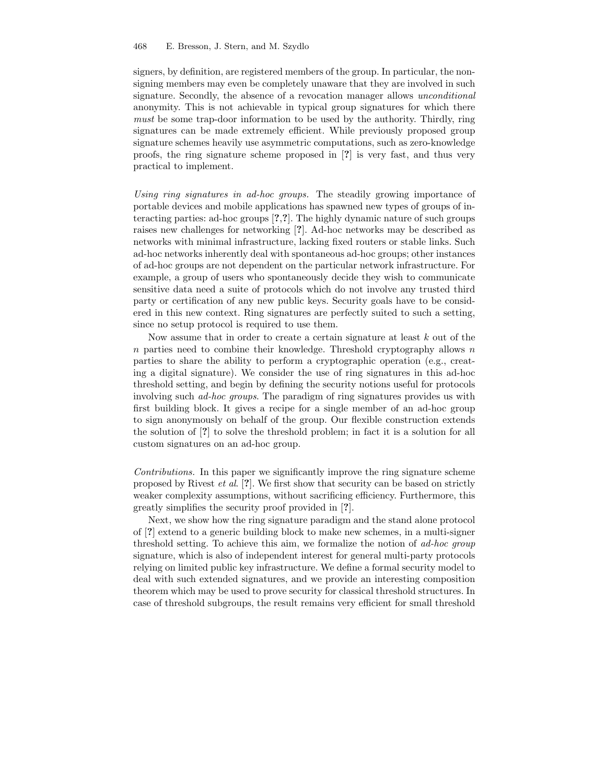signers, by definition, are registered members of the group. In particular, the nonsigning members may even be completely unaware that they are involved in such signature. Secondly, the absence of a revocation manager allows unconditional anonymity. This is not achievable in typical group signatures for which there must be some trap-door information to be used by the authority. Thirdly, ring signatures can be made extremely efficient. While previously proposed group signature schemes heavily use asymmetric computations, such as zero-knowledge proofs, the ring signature scheme proposed in [?] is very fast, and thus very practical to implement.

Using ring signatures in ad-hoc groups. The steadily growing importance of portable devices and mobile applications has spawned new types of groups of interacting parties: ad-hoc groups [?,?]. The highly dynamic nature of such groups raises new challenges for networking [?]. Ad-hoc networks may be described as networks with minimal infrastructure, lacking fixed routers or stable links. Such ad-hoc networks inherently deal with spontaneous ad-hoc groups; other instances of ad-hoc groups are not dependent on the particular network infrastructure. For example, a group of users who spontaneously decide they wish to communicate sensitive data need a suite of protocols which do not involve any trusted third party or certification of any new public keys. Security goals have to be considered in this new context. Ring signatures are perfectly suited to such a setting, since no setup protocol is required to use them.

Now assume that in order to create a certain signature at least  $k$  out of the  $n$  parties need to combine their knowledge. Threshold cryptography allows  $n$ parties to share the ability to perform a cryptographic operation (e.g., creating a digital signature). We consider the use of ring signatures in this ad-hoc threshold setting, and begin by defining the security notions useful for protocols involving such ad-hoc groups. The paradigm of ring signatures provides us with first building block. It gives a recipe for a single member of an ad-hoc group to sign anonymously on behalf of the group. Our flexible construction extends the solution of [?] to solve the threshold problem; in fact it is a solution for all custom signatures on an ad-hoc group.

Contributions. In this paper we significantly improve the ring signature scheme proposed by Rivest et al. [?]. We first show that security can be based on strictly weaker complexity assumptions, without sacrificing efficiency. Furthermore, this greatly simplifies the security proof provided in [?].

Next, we show how the ring signature paradigm and the stand alone protocol of [?] extend to a generic building block to make new schemes, in a multi-signer threshold setting. To achieve this aim, we formalize the notion of ad-hoc group signature, which is also of independent interest for general multi-party protocols relying on limited public key infrastructure. We define a formal security model to deal with such extended signatures, and we provide an interesting composition theorem which may be used to prove security for classical threshold structures. In case of threshold subgroups, the result remains very efficient for small threshold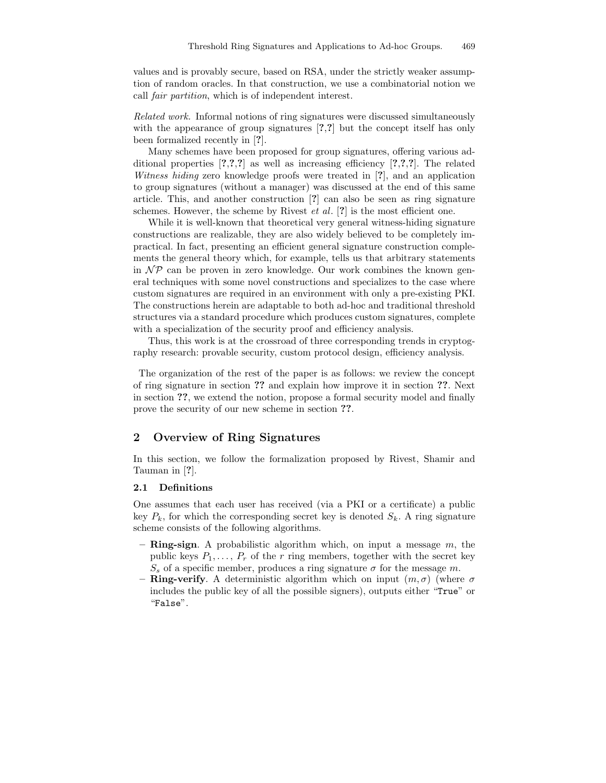values and is provably secure, based on RSA, under the strictly weaker assumption of random oracles. In that construction, we use a combinatorial notion we call fair partition, which is of independent interest.

Related work. Informal notions of ring signatures were discussed simultaneously with the appearance of group signatures [?,?] but the concept itself has only been formalized recently in [?].

Many schemes have been proposed for group signatures, offering various additional properties  $[?,?,']$  as well as increasing efficiency  $[?,?,']$ . The related Witness hiding zero knowledge proofs were treated in [?], and an application to group signatures (without a manager) was discussed at the end of this same article. This, and another construction [?] can also be seen as ring signature schemes. However, the scheme by Rivest  $et al.$  [?] is the most efficient one.

While it is well-known that theoretical very general witness-hiding signature constructions are realizable, they are also widely believed to be completely impractical. In fact, presenting an efficient general signature construction complements the general theory which, for example, tells us that arbitrary statements in  $\mathcal{NP}$  can be proven in zero knowledge. Our work combines the known general techniques with some novel constructions and specializes to the case where custom signatures are required in an environment with only a pre-existing PKI. The constructions herein are adaptable to both ad-hoc and traditional threshold structures via a standard procedure which produces custom signatures, complete with a specialization of the security proof and efficiency analysis.

Thus, this work is at the crossroad of three corresponding trends in cryptography research: provable security, custom protocol design, efficiency analysis.

The organization of the rest of the paper is as follows: we review the concept of ring signature in section ?? and explain how improve it in section ??. Next in section ??, we extend the notion, propose a formal security model and finally prove the security of our new scheme in section ??.

# 2 Overview of Ring Signatures

In this section, we follow the formalization proposed by Rivest, Shamir and Tauman in [?].

## 2.1 Definitions

One assumes that each user has received (via a PKI or a certificate) a public key  $P_k$ , for which the corresponding secret key is denoted  $S_k$ . A ring signature scheme consists of the following algorithms.

- **Ring-sign.** A probabilistic algorithm which, on input a message  $m$ , the public keys  $P_1, \ldots, P_r$  of the r ring members, together with the secret key  $S<sub>s</sub>$  of a specific member, produces a ring signature  $\sigma$  for the message m.
- **Ring-verify.** A deterministic algorithm which on input  $(m, \sigma)$  (where  $\sigma$ includes the public key of all the possible signers), outputs either "True" or "False".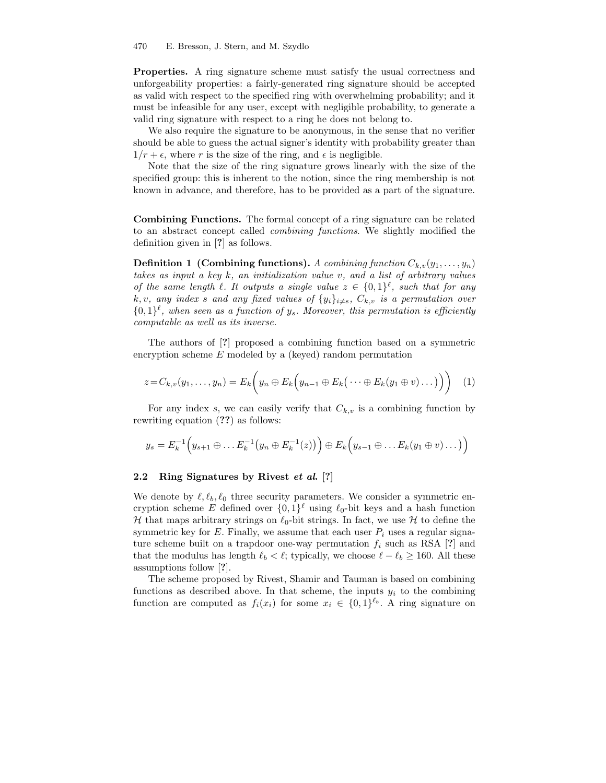Properties. A ring signature scheme must satisfy the usual correctness and unforgeability properties: a fairly-generated ring signature should be accepted as valid with respect to the specified ring with overwhelming probability; and it must be infeasible for any user, except with negligible probability, to generate a valid ring signature with respect to a ring he does not belong to.

We also require the signature to be anonymous, in the sense that no verifier should be able to guess the actual signer's identity with probability greater than  $1/r + \epsilon$ , where r is the size of the ring, and  $\epsilon$  is negligible.

Note that the size of the ring signature grows linearly with the size of the specified group: this is inherent to the notion, since the ring membership is not known in advance, and therefore, has to be provided as a part of the signature.

Combining Functions. The formal concept of a ring signature can be related to an abstract concept called combining functions. We slightly modified the definition given in [?] as follows.

**Definition 1 (Combining functions).** A combining function  $C_{k,v}(y_1,\ldots,y_n)$ takes as input a key k, an initialization value v, and a list of arbitrary values of the same length  $\ell$ . It outputs a single value  $z \in \{0,1\}^{\ell}$ , such that for any k, v, any index s and any fixed values of  $\{y_i\}_{i\neq s}$ ,  $C_{k,v}$  is a permutation over  ${0,1}^{\ell}$ , when seen as a function of  $y_s$ . Moreover, this permutation is efficiently computable as well as its inverse.

The authors of [?] proposed a combining function based on a symmetric encryption scheme E modeled by a (keyed) random permutation

$$
z = C_{k,v}(y_1,\ldots,y_n) = E_k\bigg(y_n \oplus E_k\bigg(y_{n-1} \oplus E_k\big(\cdots \oplus E_k(y_1 \oplus v)\ldots\big)\bigg)\bigg) \tag{1}
$$

For any index s, we can easily verify that  $C_{k,y}$  is a combining function by rewriting equation (??) as follows:

$$
y_s = E_k^{-1}\Big(y_{s+1}\oplus \ldots E_k^{-1}\big(y_n \oplus E_k^{-1}(z)\big)\Big) \oplus E_k\Big(y_{s-1}\oplus \ldots E_k(y_1 \oplus v)\ldots\big)\Big)
$$

#### 2.2 Ring Signatures by Rivest et al. [?]

We denote by  $\ell, \ell_b, \ell_0$  three security parameters. We consider a symmetric encryption scheme E defined over  $\{0,1\}^{\ell}$  using  $\ell_0$ -bit keys and a hash function H that maps arbitrary strings on  $\ell_0$ -bit strings. In fact, we use H to define the symmetric key for  $E$ . Finally, we assume that each user  $P_i$  uses a regular signature scheme built on a trapdoor one-way permutation  $f_i$  such as RSA [?] and that the modulus has length  $\ell_b < \ell$ ; typically, we choose  $\ell - \ell_b \ge 160$ . All these assumptions follow [?].

The scheme proposed by Rivest, Shamir and Tauman is based on combining functions as described above. In that scheme, the inputs  $y_i$  to the combining function are computed as  $f_i(x_i)$  for some  $x_i \in \{0,1\}^{\ell_b}$ . A ring signature on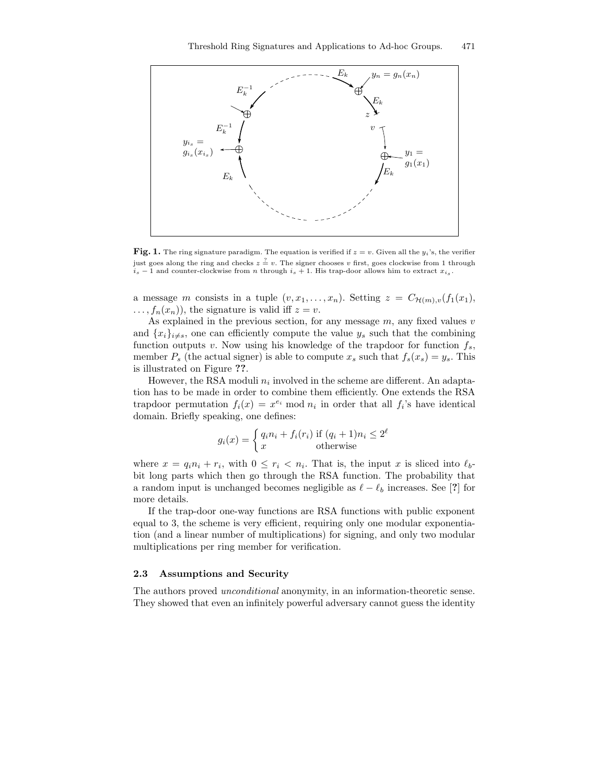

**Fig. 1.** The ring signature paradigm. The equation is verified if  $z = v$ . Given all the  $y_i$ 's, the verifier just goes along the ring and checks  $z \stackrel{?}{=} v$ . The signer chooses v first, goes clockwise from 1 through  $i_s - 1$  and counter-clockwise from n through  $i_s + 1$ . His trap-door allows him to extract  $x_{i_s}$ .

a message m consists in a tuple  $(v, x_1, \ldots, x_n)$ . Setting  $z = C_{\mathcal{H}(m),v}(f_1(x_1))$ ,  $\dots, f_n(x_n)$ , the signature is valid iff  $z = v$ .

As explained in the previous section, for any message  $m$ , any fixed values  $v$ and  $\{x_i\}_{i\neq s}$ , one can efficiently compute the value  $y_s$  such that the combining function outputs v. Now using his knowledge of the trapdoor for function  $f_s$ , member  $P_s$  (the actual signer) is able to compute  $x_s$  such that  $f_s(x_s) = y_s$ . This is illustrated on Figure ??.

However, the RSA moduli  $n_i$  involved in the scheme are different. An adaptation has to be made in order to combine them efficiently. One extends the RSA trapdoor permutation  $f_i(x) = x^{e_i} \mod n_i$  in order that all  $f_i$ 's have identical domain. Briefly speaking, one defines:

$$
g_i(x) = \begin{cases} q_i n_i + f_i(r_i) & \text{if } (q_i + 1)n_i \leq 2^{\ell} \\ x & \text{otherwise} \end{cases}
$$

where  $x = q_i n_i + r_i$ , with  $0 \le r_i < n_i$ . That is, the input x is sliced into  $\ell_b$ bit long parts which then go through the RSA function. The probability that a random input is unchanged becomes negligible as  $\ell - \ell_b$  increases. See [?] for more details.

If the trap-door one-way functions are RSA functions with public exponent equal to 3, the scheme is very efficient, requiring only one modular exponentiation (and a linear number of multiplications) for signing, and only two modular multiplications per ring member for verification.

#### 2.3 Assumptions and Security

The authors proved unconditional anonymity, in an information-theoretic sense. They showed that even an infinitely powerful adversary cannot guess the identity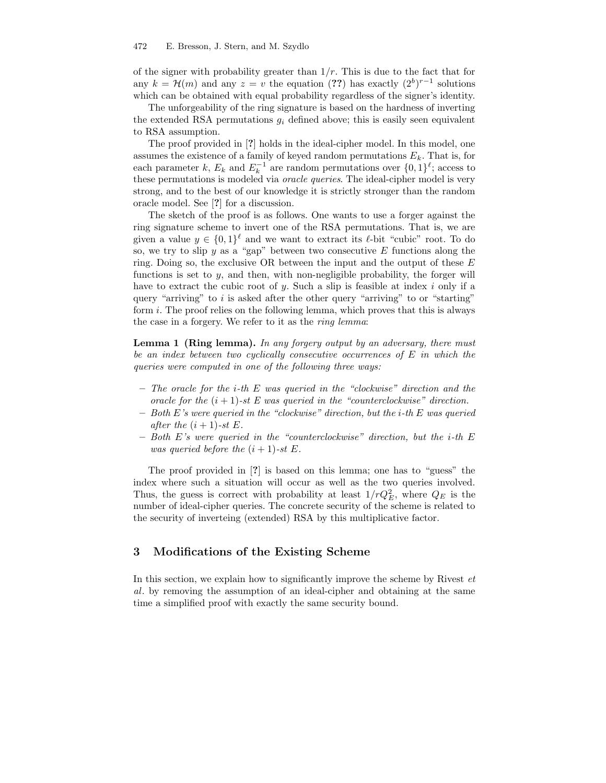of the signer with probability greater than  $1/r$ . This is due to the fact that for any  $k = \mathcal{H}(m)$  and any  $z = v$  the equation (??) has exactly  $(2^b)^{r-1}$  solutions which can be obtained with equal probability regardless of the signer's identity.

The unforgeability of the ring signature is based on the hardness of inverting the extended RSA permutations  $g_i$  defined above; this is easily seen equivalent to RSA assumption.

The proof provided in [?] holds in the ideal-cipher model. In this model, one assumes the existence of a family of keyed random permutations  $E_k$ . That is, for each parameter k,  $E_k$  and  $E_k^{-1}$  are random permutations over  $\{0,1\}^{\ell}$ ; access to these permutations is modeled via *oracle queries*. The ideal-cipher model is very strong, and to the best of our knowledge it is strictly stronger than the random oracle model. See [?] for a discussion.

The sketch of the proof is as follows. One wants to use a forger against the ring signature scheme to invert one of the RSA permutations. That is, we are given a value  $y \in \{0,1\}^{\ell}$  and we want to extract its  $\ell$ -bit "cubic" root. To do so, we try to slip  $y$  as a "gap" between two consecutive  $E$  functions along the ring. Doing so, the exclusive OR between the input and the output of these  $E$ functions is set to  $y$ , and then, with non-negligible probability, the forger will have to extract the cubic root of y. Such a slip is feasible at index  $i$  only if a query "arriving" to  $i$  is asked after the other query "arriving" to or "starting" form i. The proof relies on the following lemma, which proves that this is always the case in a forgery. We refer to it as the ring lemma:

**Lemma 1 (Ring lemma).** In any forgery output by an adversary, there must be an index between two cyclically consecutive occurrences of  $E$  in which the queries were computed in one of the following three ways:

- $-$  The oracle for the *i*-th E was queried in the "clockwise" direction and the oracle for the  $(i + 1)$ -st E was queried in the "counterclockwise" direction.
- $-$  Both E's were queried in the "clockwise" direction, but the *i*-th E was queried after the  $(i + 1)$ -st E.
- $-$  Both E's were queried in the "counterclockwise" direction, but the *i*-th E was queried before the  $(i + 1)$ -st E.

The proof provided in [?] is based on this lemma; one has to "guess" the index where such a situation will occur as well as the two queries involved. Thus, the guess is correct with probability at least  $1/rQ<sub>E</sub><sup>2</sup>$ , where  $Q<sub>E</sub>$  is the number of ideal-cipher queries. The concrete security of the scheme is related to the security of inverteing (extended) RSA by this multiplicative factor.

# 3 Modifications of the Existing Scheme

In this section, we explain how to significantly improve the scheme by Rivest et al. by removing the assumption of an ideal-cipher and obtaining at the same time a simplified proof with exactly the same security bound.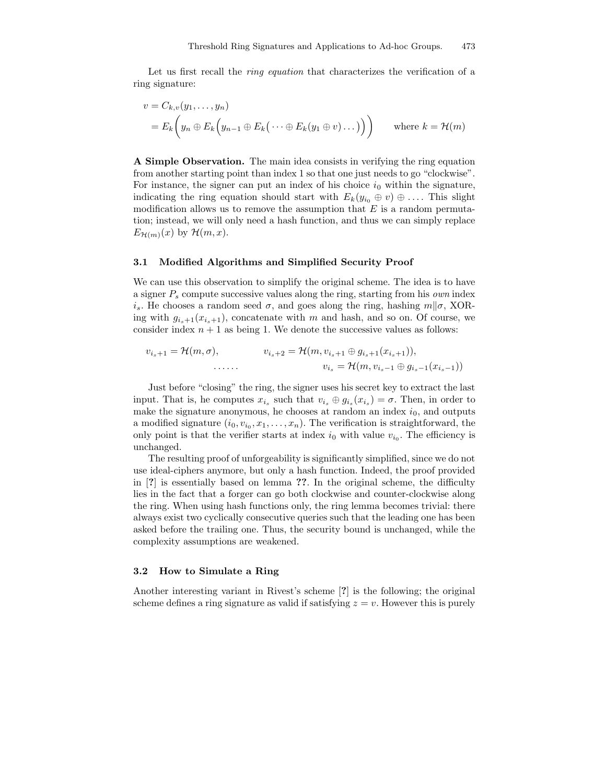Let us first recall the *ring equation* that characterizes the verification of a ring signature:

$$
v = C_{k,v}(y_1, \dots, y_n)
$$
  
=  $E_k \left( y_n \oplus E_k \left( y_{n-1} \oplus E_k \left( \dots \oplus E_k(y_1 \oplus v) \dots \right) \right) \right)$  where  $k = \mathcal{H}(m)$ 

A Simple Observation. The main idea consists in verifying the ring equation from another starting point than index 1 so that one just needs to go "clockwise". For instance, the signer can put an index of his choice  $i_0$  within the signature, indicating the ring equation should start with  $E_k(y_{i0} \oplus v) \oplus \ldots$ . This slight modification allows us to remove the assumption that  $E$  is a random permutation; instead, we will only need a hash function, and thus we can simply replace  $E_{\mathcal{H}(m)}(x)$  by  $\mathcal{H}(m, x)$ .

#### 3.1 Modified Algorithms and Simplified Security Proof

We can use this observation to simplify the original scheme. The idea is to have a signer  $P_s$  compute successive values along the ring, starting from his *own* index  $i_s$ . He chooses a random seed  $\sigma$ , and goes along the ring, hashing  $m||\sigma$ , XORing with  $g_{i_*+1}(x_{i_*+1})$ , concatenate with m and hash, and so on. Of course, we consider index  $n + 1$  as being 1. We denote the successive values as follows:

$$
v_{i_s+1} = \mathcal{H}(m, \sigma), \qquad v_{i_s+2} = \mathcal{H}(m, v_{i_s+1} \oplus g_{i_s+1}(x_{i_s+1})),
$$

$$
\dots \dots \qquad v_{i_s} = \mathcal{H}(m, v_{i_s-1} \oplus g_{i_s-1}(x_{i_s-1}))
$$

Just before "closing" the ring, the signer uses his secret key to extract the last input. That is, he computes  $x_{i_s}$  such that  $v_{i_s} \oplus g_{i_s}(x_{i_s}) = \sigma$ . Then, in order to make the signature anonymous, he chooses at random an index  $i_0$ , and outputs a modified signature  $(i_0, v_{i_0}, x_1, \ldots, x_n)$ . The verification is straightforward, the only point is that the verifier starts at index  $i_0$  with value  $v_{i_0}$ . The efficiency is unchanged.

The resulting proof of unforgeability is significantly simplified, since we do not use ideal-ciphers anymore, but only a hash function. Indeed, the proof provided in [?] is essentially based on lemma ??. In the original scheme, the difficulty lies in the fact that a forger can go both clockwise and counter-clockwise along the ring. When using hash functions only, the ring lemma becomes trivial: there always exist two cyclically consecutive queries such that the leading one has been asked before the trailing one. Thus, the security bound is unchanged, while the complexity assumptions are weakened.

#### 3.2 How to Simulate a Ring

Another interesting variant in Rivest's scheme [?] is the following; the original scheme defines a ring signature as valid if satisfying  $z = v$ . However this is purely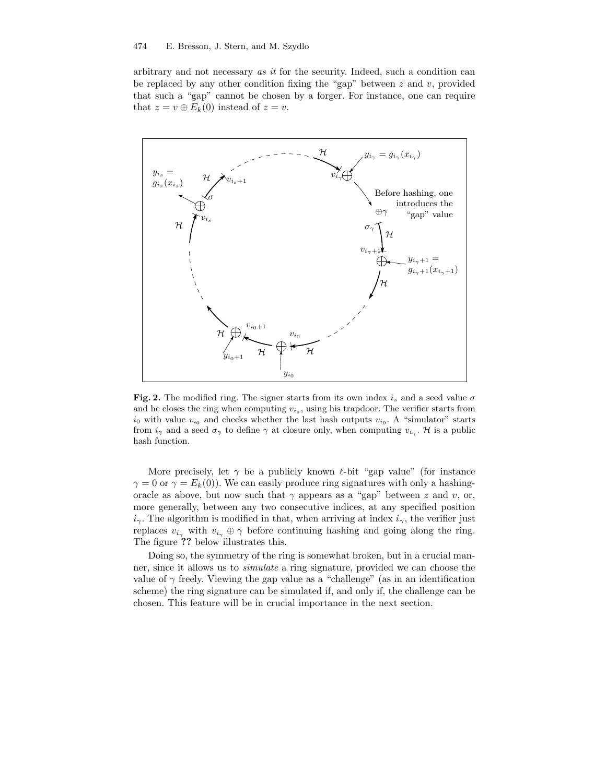arbitrary and not necessary as it for the security. Indeed, such a condition can be replaced by any other condition fixing the "gap" between  $z$  and  $v$ , provided that such a "gap" cannot be chosen by a forger. For instance, one can require that  $z = v \oplus E_k(0)$  instead of  $z = v$ .



Fig. 2. The modified ring. The signer starts from its own index  $i_s$  and a seed value  $\sigma$ and he closes the ring when computing  $v_{i_s}$ , using his trapdoor. The verifier starts from  $i_0$  with value  $v_{i_0}$  and checks whether the last hash outputs  $v_{i_0}$ . A "simulator" starts from  $i_{\gamma}$  and a seed  $\sigma_{\gamma}$  to define  $\gamma$  at closure only, when computing  $v_{i_{\gamma}}$ . H is a public hash function.

More precisely, let  $\gamma$  be a publicly known  $\ell$ -bit "gap value" (for instance  $\gamma = 0$  or  $\gamma = E_k(0)$ . We can easily produce ring signatures with only a hashingoracle as above, but now such that  $\gamma$  appears as a "gap" between z and v, or, more generally, between any two consecutive indices, at any specified position  $i_{\gamma}$ . The algorithm is modified in that, when arriving at index  $i_{\gamma}$ , the verifier just replaces  $v_{i_{\gamma}}$  with  $v_{i_{\gamma}} \oplus \gamma$  before continuing hashing and going along the ring. The figure ?? below illustrates this.

Doing so, the symmetry of the ring is somewhat broken, but in a crucial manner, since it allows us to simulate a ring signature, provided we can choose the value of  $\gamma$  freely. Viewing the gap value as a "challenge" (as in an identification scheme) the ring signature can be simulated if, and only if, the challenge can be chosen. This feature will be in crucial importance in the next section.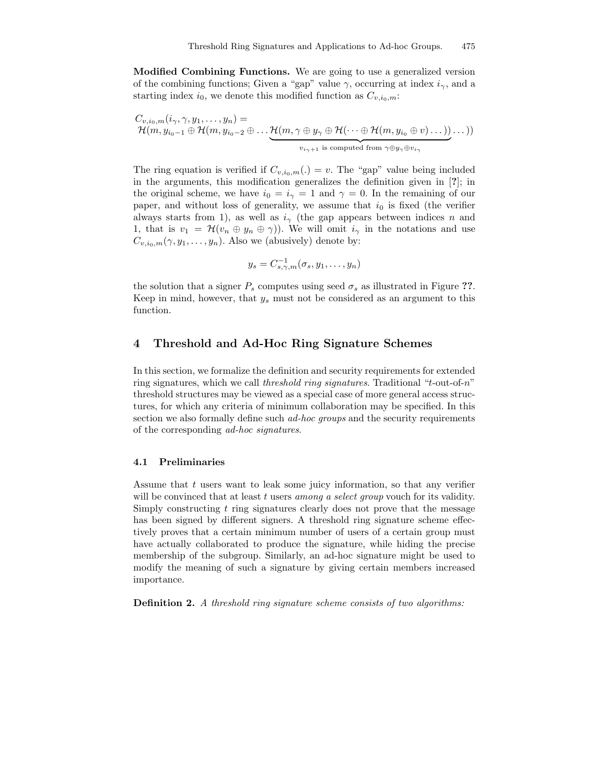Modified Combining Functions. We are going to use a generalized version of the combining functions; Given a "gap" value  $\gamma$ , occurring at index  $i_{\gamma}$ , and a starting index  $i_0$ , we denote this modified function as  $C_{v,i_0,m}$ :

$$
C_{v,i_0,m}(i_\gamma,\gamma,y_1,\ldots,y_n) =
$$
  
\n
$$
\mathcal{H}(m,y_{i_0-1}\oplus\mathcal{H}(m,y_{i_0-2}\oplus\ldots\underbrace{\mathcal{H}(m,\gamma\oplus y_\gamma\oplus\mathcal{H}(\cdots\oplus\mathcal{H}(m,y_{i_0}\oplus v)\ldots))}_{v_{i_\gamma+1}\text{ is computed from }\gamma\oplus y_\gamma\oplus v_{i_\gamma}}\ldots)
$$

The ring equation is verified if  $C_{v,i_0,m}(.) = v$ . The "gap" value being included in the arguments, this modification generalizes the definition given in [?]; in the original scheme, we have  $i_0 = i_\gamma = 1$  and  $\gamma = 0$ . In the remaining of our paper, and without loss of generality, we assume that  $i_0$  is fixed (the verifier always starts from 1), as well as  $i<sub>y</sub>$  (the gap appears between indices n and 1, that is  $v_1 = \mathcal{H}(v_n \oplus y_n \oplus \gamma)$ . We will omit  $i_\gamma$  in the notations and use  $C_{v,i_0,m}(\gamma, y_1, \ldots, y_n)$ . Also we (abusively) denote by:

$$
y_s = C_{s,\gamma,m}^{-1}(\sigma_s, y_1, \dots, y_n)
$$

the solution that a signer  $P_s$  computes using seed  $\sigma_s$  as illustrated in Figure ??. Keep in mind, however, that  $y_s$  must not be considered as an argument to this function.

## 4 Threshold and Ad-Hoc Ring Signature Schemes

In this section, we formalize the definition and security requirements for extended ring signatures, which we call threshold ring signatures. Traditional "t-out-of-n" threshold structures may be viewed as a special case of more general access structures, for which any criteria of minimum collaboration may be specified. In this section we also formally define such *ad-hoc groups* and the security requirements of the corresponding ad-hoc signatures.

## 4.1 Preliminaries

Assume that t users want to leak some juicy information, so that any verifier will be convinced that at least t users among a select group vouch for its validity. Simply constructing  $t$  ring signatures clearly does not prove that the message has been signed by different signers. A threshold ring signature scheme effectively proves that a certain minimum number of users of a certain group must have actually collaborated to produce the signature, while hiding the precise membership of the subgroup. Similarly, an ad-hoc signature might be used to modify the meaning of such a signature by giving certain members increased importance.

Definition 2. A threshold ring signature scheme consists of two algorithms: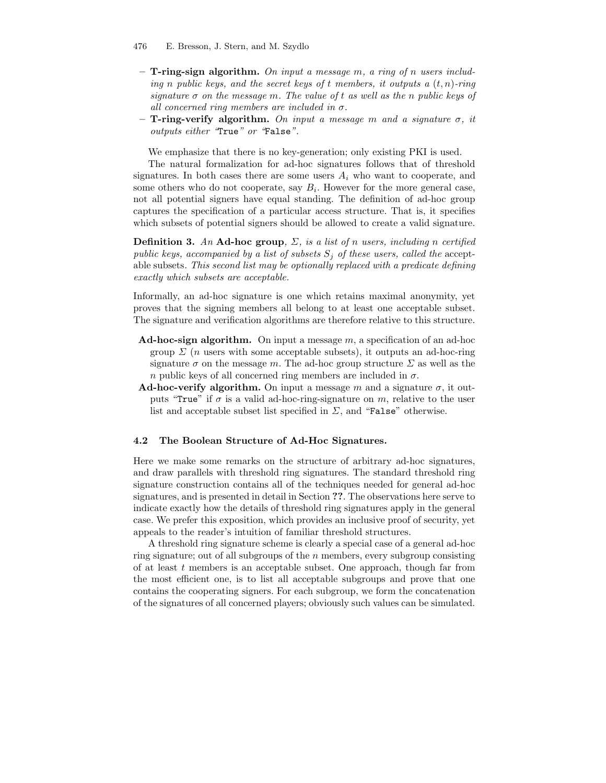- $-$  T-ring-sign algorithm. On input a message m, a ring of n users including n public keys, and the secret keys of t members, it outputs a  $(t, n)$ -ring signature  $\sigma$  on the message m. The value of t as well as the n public keys of all concerned ring members are included in  $\sigma$ .
- **T-ring-verify algorithm.** On input a message m and a signature  $\sigma$ , it outputs either "True" or "False".

We emphasize that there is no key-generation; only existing PKI is used.

The natural formalization for ad-hoc signatures follows that of threshold signatures. In both cases there are some users  $A_i$  who want to cooperate, and some others who do not cooperate, say  $B_i$ . However for the more general case, not all potential signers have equal standing. The definition of ad-hoc group captures the specification of a particular access structure. That is, it specifies which subsets of potential signers should be allowed to create a valid signature.

**Definition 3.** An Ad-hoc group,  $\Sigma$ , is a list of n users, including n certified public keys, accompanied by a list of subsets  $S_i$  of these users, called the acceptable subsets. This second list may be optionally replaced with a predicate defining exactly which subsets are acceptable.

Informally, an ad-hoc signature is one which retains maximal anonymity, yet proves that the signing members all belong to at least one acceptable subset. The signature and verification algorithms are therefore relative to this structure.

- Ad-hoc-sign algorithm. On input a message  $m$ , a specification of an ad-hoc group  $\Sigma$  (*n* users with some acceptable subsets), it outputs an ad-hoc-ring signature  $\sigma$  on the message m. The ad-hoc group structure  $\Sigma$  as well as the n public keys of all concerned ring members are included in  $\sigma$ .
- Ad-hoc-verify algorithm. On input a message m and a signature  $\sigma$ , it outputs "True" if  $\sigma$  is a valid ad-hoc-ring-signature on m, relative to the user list and acceptable subset list specified in  $\Sigma$ , and "False" otherwise.

#### 4.2 The Boolean Structure of Ad-Hoc Signatures.

Here we make some remarks on the structure of arbitrary ad-hoc signatures, and draw parallels with threshold ring signatures. The standard threshold ring signature construction contains all of the techniques needed for general ad-hoc signatures, and is presented in detail in Section ??. The observations here serve to indicate exactly how the details of threshold ring signatures apply in the general case. We prefer this exposition, which provides an inclusive proof of security, yet appeals to the reader's intuition of familiar threshold structures.

A threshold ring signature scheme is clearly a special case of a general ad-hoc ring signature; out of all subgroups of the  $n$  members, every subgroup consisting of at least  $t$  members is an acceptable subset. One approach, though far from the most efficient one, is to list all acceptable subgroups and prove that one contains the cooperating signers. For each subgroup, we form the concatenation of the signatures of all concerned players; obviously such values can be simulated.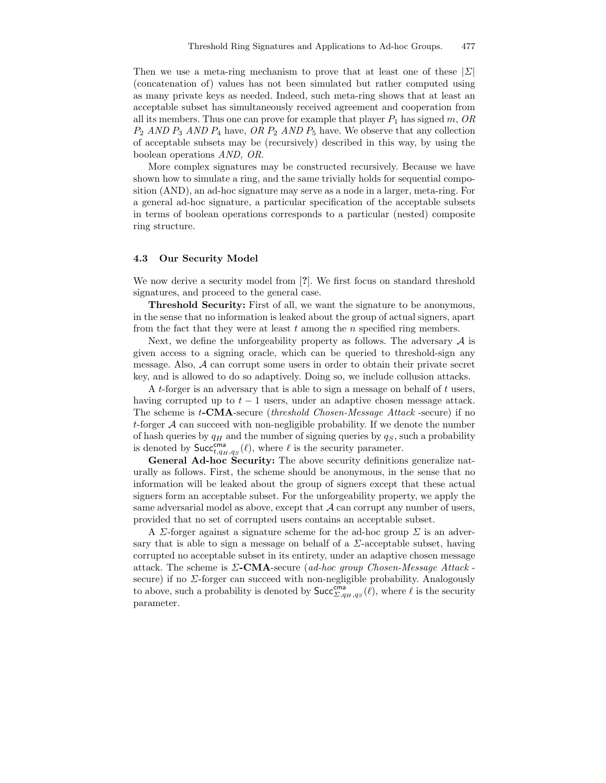Then we use a meta-ring mechanism to prove that at least one of these  $|\Sigma|$ (concatenation of) values has not been simulated but rather computed using as many private keys as needed. Indeed, such meta-ring shows that at least an acceptable subset has simultaneously received agreement and cooperation from all its members. Thus one can prove for example that player  $P_1$  has signed m, OR  $P_2$  AND  $P_3$  AND  $P_4$  have, OR  $P_2$  AND  $P_5$  have. We observe that any collection of acceptable subsets may be (recursively) described in this way, by using the boolean operations AND, OR.

More complex signatures may be constructed recursively. Because we have shown how to simulate a ring, and the same trivially holds for sequential composition (AND), an ad-hoc signature may serve as a node in a larger, meta-ring. For a general ad-hoc signature, a particular specification of the acceptable subsets in terms of boolean operations corresponds to a particular (nested) composite ring structure.

## 4.3 Our Security Model

We now derive a security model from [?]. We first focus on standard threshold signatures, and proceed to the general case.

Threshold Security: First of all, we want the signature to be anonymous, in the sense that no information is leaked about the group of actual signers, apart from the fact that they were at least  $t$  among the  $n$  specified ring members.

Next, we define the unforgeability property as follows. The adversary  $A$  is given access to a signing oracle, which can be queried to threshold-sign any message. Also, A can corrupt some users in order to obtain their private secret key, and is allowed to do so adaptively. Doing so, we include collusion attacks.

A t-forger is an adversary that is able to sign a message on behalf of t users, having corrupted up to  $t - 1$  users, under an adaptive chosen message attack. The scheme is  $t$ -CMA-secure (threshold Chosen-Message Attack -secure) if no t-forger  $A$  can succeed with non-negligible probability. If we denote the number of hash queries by  $q_H$  and the number of signing queries by  $q_S$ , such a probability is denoted by  $\mathsf{Succ}_{t,q_H,q_S}^{\mathsf{cma}}(\ell)$ , where  $\ell$  is the security parameter.

General Ad-hoc Security: The above security definitions generalize naturally as follows. First, the scheme should be anonymous, in the sense that no information will be leaked about the group of signers except that these actual signers form an acceptable subset. For the unforgeability property, we apply the same adversarial model as above, except that  $\mathcal A$  can corrupt any number of users, provided that no set of corrupted users contains an acceptable subset.

A  $\Sigma$ -forger against a signature scheme for the ad-hoc group  $\Sigma$  is an adversary that is able to sign a message on behalf of a  $\Sigma$ -acceptable subset, having corrupted no acceptable subset in its entirety, under an adaptive chosen message attack. The scheme is  $\Sigma$ -CMA-secure (ad-hoc group Chosen-Message Attack secure) if no Σ-forger can succeed with non-negligible probability. Analogously to above, such a probability is denoted by  $\mathsf{Succ}_{\Sigma,q_H,q_S}^{\mathsf{cma}}(\ell)$ , where  $\ell$  is the security parameter.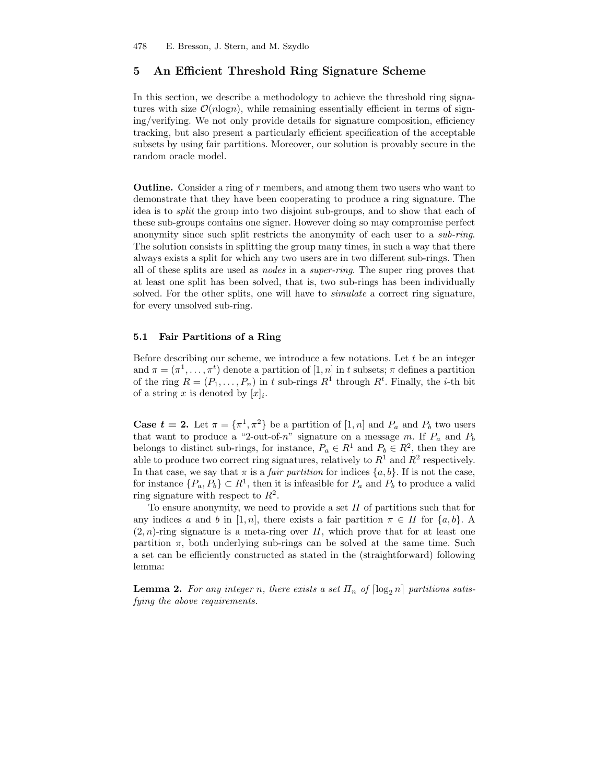# 5 An Efficient Threshold Ring Signature Scheme

In this section, we describe a methodology to achieve the threshold ring signatures with size  $\mathcal{O}(n \log n)$ , while remaining essentially efficient in terms of signing/verifying. We not only provide details for signature composition, efficiency tracking, but also present a particularly efficient specification of the acceptable subsets by using fair partitions. Moreover, our solution is provably secure in the random oracle model.

**Outline.** Consider a ring of  $r$  members, and among them two users who want to demonstrate that they have been cooperating to produce a ring signature. The idea is to split the group into two disjoint sub-groups, and to show that each of these sub-groups contains one signer. However doing so may compromise perfect anonymity since such split restricts the anonymity of each user to a sub-ring. The solution consists in splitting the group many times, in such a way that there always exists a split for which any two users are in two different sub-rings. Then all of these splits are used as nodes in a super-ring. The super ring proves that at least one split has been solved, that is, two sub-rings has been individually solved. For the other splits, one will have to *simulate* a correct ring signature, for every unsolved sub-ring.

#### 5.1 Fair Partitions of a Ring

Before describing our scheme, we introduce a few notations. Let  $t$  be an integer and  $\pi = (\pi^1, \ldots, \pi^t)$  denote a partition of  $[1, n]$  in t subsets;  $\pi$  defines a partition of the ring  $R = (P_1, \ldots, P_n)$  in t sub-rings  $R^1$  through  $R^t$ . Finally, the *i*-th bit of a string x is denoted by  $[x]_i$ .

**Case**  $t = 2$ **.** Let  $\pi = {\pi^1, \pi^2}$  be a partition of  $[1, n]$  and  $P_a$  and  $P_b$  two users that want to produce a "2-out-of-n" signature on a message m. If  $P_a$  and  $P_b$ belongs to distinct sub-rings, for instance,  $P_a \in R^1$  and  $P_b \in R^2$ , then they are able to produce two correct ring signatures, relatively to  $R^1$  and  $R^2$  respectively. In that case, we say that  $\pi$  is a *fair partition* for indices  $\{a, b\}$ . If is not the case, for instance  $\{P_a, P_b\} \subset R^1$ , then it is infeasible for  $P_a$  and  $P_b$  to produce a valid ring signature with respect to  $R^2$ .

To ensure anonymity, we need to provide a set  $\Pi$  of partitions such that for any indices a and b in [1, n], there exists a fair partition  $\pi \in \Pi$  for  $\{a, b\}$ . A  $(2, n)$ -ring signature is a meta-ring over  $\Pi$ , which prove that for at least one partition  $\pi$ , both underlying sub-rings can be solved at the same time. Such a set can be efficiently constructed as stated in the (straightforward) following lemma:

**Lemma 2.** For any integer n, there exists a set  $\Pi_n$  of  $\lceil \log_2 n \rceil$  partitions satisfying the above requirements.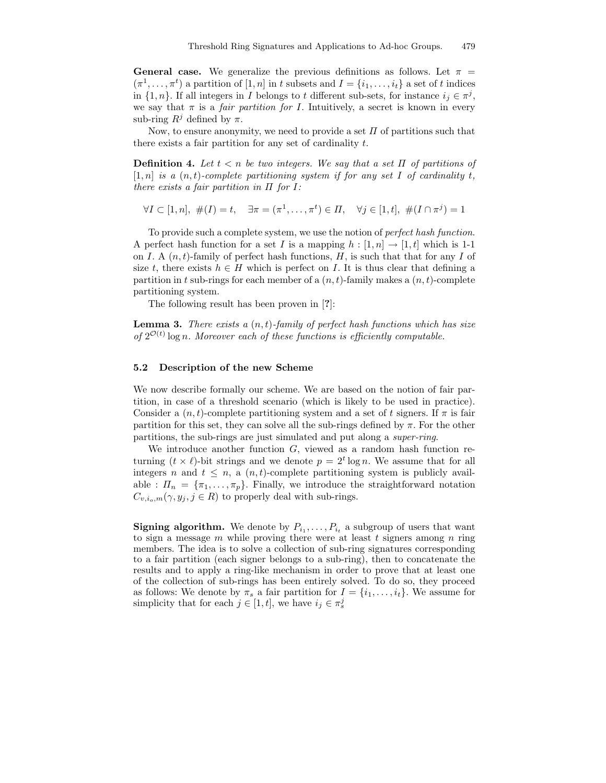**General case.** We generalize the previous definitions as follows. Let  $\pi$  =  $(\pi^1, \ldots, \pi^t)$  a partition of  $[1, n]$  in t subsets and  $I = \{i_1, \ldots, i_t\}$  a set of t indices in  $\{1, n\}$ . If all integers in I belongs to t different sub-sets, for instance  $i_j \in \pi^j$ , we say that  $\pi$  is a *fair partition for I*. Intuitively, a secret is known in every sub-ring  $R^j$  defined by  $\pi$ .

Now, to ensure anonymity, we need to provide a set  $\Pi$  of partitions such that there exists a fair partition for any set of cardinality t.

**Definition 4.** Let  $t < n$  be two integers. We say that a set  $\Pi$  of partitions of  $[1, n]$  is a  $(n, t)$ -complete partitioning system if for any set I of cardinality t, there exists a fair partition in  $\Pi$  for  $I$ :

$$
\forall I \subset [1, n], \#(I) = t, \quad \exists \pi = (\pi^1, \dots, \pi^t) \in \Pi, \quad \forall j \in [1, t], \#(I \cap \pi^j) = 1
$$

To provide such a complete system, we use the notion of perfect hash function. A perfect hash function for a set I is a mapping  $h : [1, n] \rightarrow [1, t]$  which is 1-1 on I. A  $(n, t)$ -family of perfect hash functions, H, is such that that for any I of size t, there exists  $h \in H$  which is perfect on I. It is thus clear that defining a partition in t sub-rings for each member of a  $(n,t)$ -family makes a  $(n,t)$ -complete partitioning system.

The following result has been proven in [?]:

**Lemma 3.** There exists a  $(n, t)$ -family of perfect hash functions which has size of  $2^{\mathcal{O}(t)}$  log n. Moreover each of these functions is efficiently computable.

#### 5.2 Description of the new Scheme

We now describe formally our scheme. We are based on the notion of fair partition, in case of a threshold scenario (which is likely to be used in practice). Consider a  $(n,t)$ -complete partitioning system and a set of t signers. If  $\pi$  is fair partition for this set, they can solve all the sub-rings defined by  $\pi$ . For the other partitions, the sub-rings are just simulated and put along a super-ring.

We introduce another function  $G$ , viewed as a random hash function returning  $(t \times \ell)$ -bit strings and we denote  $p = 2^t \log n$ . We assume that for all integers n and  $t \leq n$ , a  $(n,t)$ -complete partitioning system is publicly available :  $\Pi_n = {\pi_1, \ldots, \pi_p}$ . Finally, we introduce the straightforward notation  $C_{v,i_o,m}(\gamma, y_j, j \in R)$  to properly deal with sub-rings.

**Signing algorithm.** We denote by  $P_{i_1}, \ldots, P_{i_t}$  a subgroup of users that want to sign a message  $m$  while proving there were at least  $t$  signers among  $n$  ring members. The idea is to solve a collection of sub-ring signatures corresponding to a fair partition (each signer belongs to a sub-ring), then to concatenate the results and to apply a ring-like mechanism in order to prove that at least one of the collection of sub-rings has been entirely solved. To do so, they proceed as follows: We denote by  $\pi_s$  a fair partition for  $I = \{i_1, \ldots, i_t\}$ . We assume for simplicity that for each  $j \in [1, t]$ , we have  $i_j \in \pi_s^j$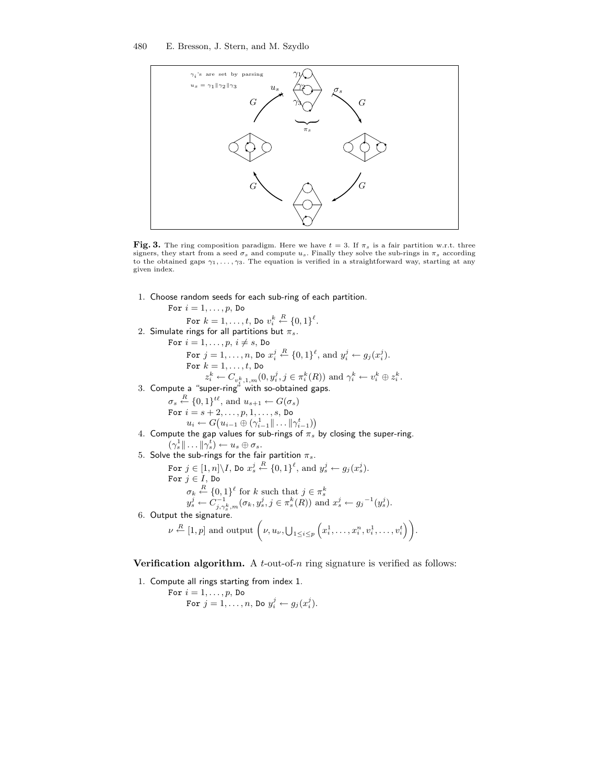

**Fig. 3.** The ring composition paradigm. Here we have  $t = 3$ . If  $\pi_s$  is a fair partition w.r.t. three signers, they start from a seed  $\sigma_s$  and compute  $u_s$ . Finally they solve the sub-rings in  $\pi_s$  according to the obtained gaps  $\gamma_1, \ldots, \gamma_3$ . The equation is verified in a straightforward way, starting at any given index.

1. Choose random seeds for each sub-ring of each partition.

For  $i=1,\ldots,p$ , Do For  $k=1,\ldots,t,$  Do  $v_i^k\stackrel{R}{\leftarrow}\{0,1\}^\ell.$ 2. Simulate rings for all partitions but  $\pi_s$ . For  $i = 1, \ldots, p, i \neq s$ , Do For  $j=1,\ldots,n,$  Do  $x_i^j\overset{R}{\leftarrow}\{0,1\}^\ell,$  and  $y_i^j\leftarrow g_j(x_i^j).$ For  $k=1,\ldots,t,$  Do  $z_i^k \leftarrow C_{v_i^k,1,m}(0, y_i^j, j \in \pi_i^k(R))$  and  $\gamma_i^k \leftarrow v_i^k \oplus z_i^k$ . 3. Compute a "super-ring" with so-obtained gaps.  $\sigma_s \stackrel{R}{\leftarrow} \{0,1\}^{t\ell}$ , and  $u_{s+1} \leftarrow G(\sigma_s)$ For  $i = s + 2, \ldots, p, 1, \ldots, s$ , Do  $u_i \leftarrow G(u_{i-1} \oplus (\gamma_{i-1}^1 \| \dots \| \gamma_{i-1}^t))$ 4. Compute the gap values for sub-rings of  $\pi_s$  by closing the super-ring.  $(\gamma_s^1 \| \dots \| \gamma_s^t) \leftarrow u_s \oplus \sigma_s.$ 5. Solve the sub-rings for the fair partition  $\pi_s$ . For  $j\in [1,n]\backslash I,$  Do  $x_s^j\overset{R}{\leftarrow}\{0,1\}^\ell,$  and  $y_s^j\leftarrow g_j(x_s^j).$ For  $j \in I$ , Do  $\sigma_k \stackrel{R}{\leftarrow} \{0,1\}^{\ell}$  for k such that  $j \in \pi_s^k$ <br>  $y_s^j \leftarrow C_{j,\gamma_s^k,m}^{-1}(\sigma_k, y_s^j, j \in \pi_s^k(R))$  and  $x_s^j \leftarrow g_j^{-1}(y_s^j)$ . 6. Output the signature.  $\nu \stackrel{R}{\leftarrow} [1, p]$  and output  $(\nu, u_{\nu}, \bigcup_{1 \leq i \leq p} (x_1^1, \ldots, x_i^n, v_i^1, \ldots, v_i^t))$ .

**Verification algorithm.** A *t*-out-of-*n* ring signature is verified as follows:

1. Compute all rings starting from index 1.

For  $i=1,\ldots,p,$  Do For  $j=1,\ldots,n,$  Do  $y_i^j \leftarrow g_j(x_i^j).$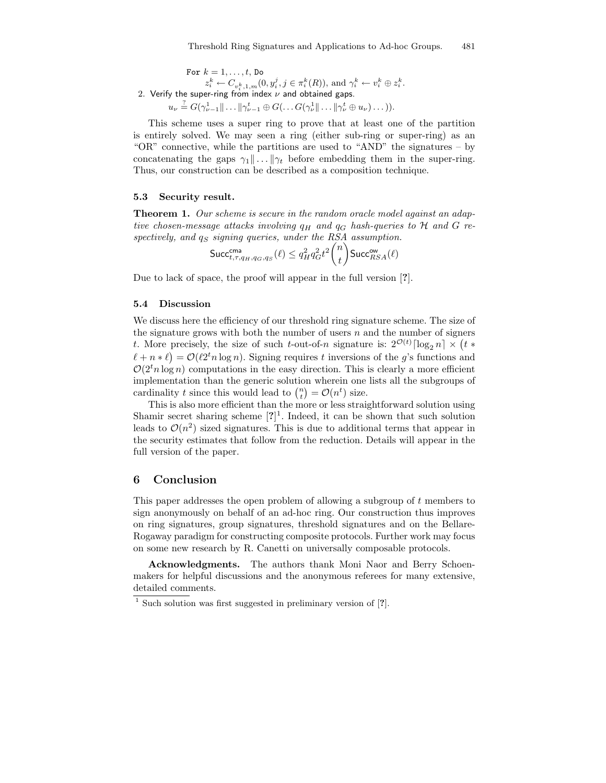.

For 
$$
k = 1, ..., t
$$
, Do  
\n
$$
z_i^k \leftarrow C_{v_i^k, 1, m}(0, y_i^j, j \in \pi_i^k(R)), \text{ and } \gamma_i^k \leftarrow v_i^k \oplus z_i^k
$$
\n2. Verify the super-ring from index  $\nu$  and obtained gaps.  
\n
$$
u_{\nu} \stackrel{\text{?}}{=} G(\gamma_{\nu-1}^1 \| \dots \| \gamma_{\nu-1}^t \oplus G(\dots G(\gamma_{\nu}^1 \| \dots \| \gamma_{\nu}^t \oplus u_{\nu}) \dots)).
$$

This scheme uses a super ring to prove that at least one of the partition is entirely solved. We may seen a ring (either sub-ring or super-ring) as an "OR" connective, while the partitions are used to "AND" the signatures – by concatenating the gaps  $\gamma_1 \dots \gamma_t$  before embedding them in the super-ring. Thus, our construction can be described as a composition technique.

#### 5.3 Security result.

**Theorem 1.** Our scheme is secure in the random oracle model against an adaptive chosen-message attacks involving  $q_H$  and  $q_G$  hash-queries to H and G respectively, and  $q_S$  signing queries, under the RSA assumption.

$$
\mathrm{Succ}_{t,\tau,q_H,q_G,q_S}^{\mathrm{cma}}(\ell) \leq q_H^2 q_G^2 t^2 \binom{n}{t} \mathrm{Succ}_{RSA}^{\mathrm{ow}}(\ell)
$$

Due to lack of space, the proof will appear in the full version [?].

## 5.4 Discussion

We discuss here the efficiency of our threshold ring signature scheme. The size of the signature grows with both the number of users  $n$  and the number of signers t. More precisely, the size of such t-out-of-n signature is:  $2^{\mathcal{O}(t)} \lceil \log_2 n \rceil \times (t *$  $\ell + n * \ell = \mathcal{O}(\ell 2^t n \log n)$ . Signing requires t inversions of the g's functions and  $\mathcal{O}(2^tn \log n)$  computations in the easy direction. This is clearly a more efficient implementation than the generic solution wherein one lists all the subgroups of cardinality t since this would lead to  $\binom{n}{t} = \mathcal{O}(n^t)$  size.

This is also more efficient than the more or less straightforward solution using Shamir secret sharing scheme  $[?]$ <sup>1</sup>. Indeed, it can be shown that such solution leads to  $\mathcal{O}(n^2)$  sized signatures. This is due to additional terms that appear in the security estimates that follow from the reduction. Details will appear in the full version of the paper.

## 6 Conclusion

This paper addresses the open problem of allowing a subgroup of t members to sign anonymously on behalf of an ad-hoc ring. Our construction thus improves on ring signatures, group signatures, threshold signatures and on the Bellare-Rogaway paradigm for constructing composite protocols. Further work may focus on some new research by R. Canetti on universally composable protocols.

Acknowledgments. The authors thank Moni Naor and Berry Schoenmakers for helpful discussions and the anonymous referees for many extensive, detailed comments.

<sup>&</sup>lt;sup>1</sup> Such solution was first suggested in preliminary version of [?].